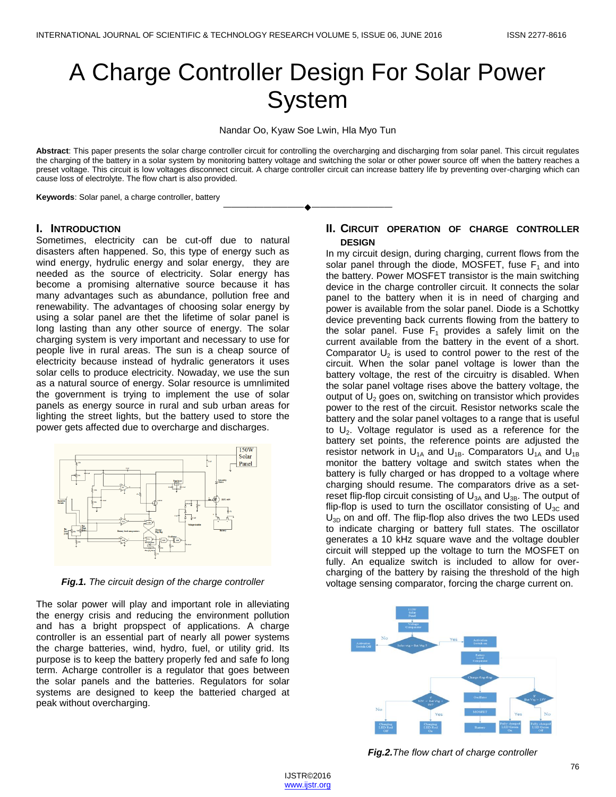# A Charge Controller Design For Solar Power **System**

Nandar Oo, Kyaw Soe Lwin, Hla Myo Tun

**Abstract**: This paper presents the solar charge controller circuit for controlling the overcharging and discharging from solar panel. This circuit regulates the charging of the battery in a solar system by monitoring battery voltage and switching the solar or other power source off when the battery reaches a preset voltage. This circuit is low voltages disconnect circuit. A charge controller circuit can increase battery life by preventing over-charging which can cause loss of electrolyte. The flow chart is also provided.

————————————————————

**Keywords**: Solar panel, a charge controller, battery

## **I. INTRODUCTION**

Sometimes, electricity can be cut-off due to natural disasters aften happened. So, this type of energy such as wind energy, hydrulic energy and solar energy, they are needed as the source of electricity. Solar energy has become a promising alternative source because it has many advantages such as abundance, pollution free and renewability. The advantages of choosing solar energy by using a solar panel are thet the lifetime of solar panel is long lasting than any other source of energy. The solar charging system is very important and necessary to use for people live in rural areas. The sun is a cheap source of electricity because instead of hydralic generators it uses solar cells to produce electricity. Nowaday, we use the sun as a natural source of energy. Solar resource is umnlimited the government is trying to implement the use of solar panels as energy source in rural and sub urban areas for lighting the street lights, but the battery used to store the power gets affected due to overcharge and discharges.



*Fig.1. The circuit design of the charge controller*

The solar power will play and important role in alleviating the energy crisis and reducing the environment pollution and has a bright propspect of applications. A charge controller is an essential part of nearly all power systems the charge batteries, wind, hydro, fuel, or utility grid. Its purpose is to keep the battery properly fed and safe fo long term. Acharge controller is a regulator that goes between the solar panels and the batteries. Regulators for solar systems are designed to keep the batteried charged at peak without overcharging.

# **II. CIRCUIT OPERATION OF CHARGE CONTROLLER DESIGN**

In my circuit design, during charging, current flows from the solar panel through the diode, MOSFET, fuse  $F_1$  and into the battery. Power MOSFET transistor is the main switching device in the charge controller circuit. It connects the solar panel to the battery when it is in need of charging and power is available from the solar panel. Diode is a Schottky device preventing back currents flowing from the battery to the solar panel. Fuse  $F_1$  provides a safely limit on the current available from the battery in the event of a short. Comparator  $U_2$  is used to control power to the rest of the circuit. When the solar panel voltage is lower than the battery voltage, the rest of the circuitry is disabled. When the solar panel voltage rises above the battery voltage, the output of  $U_2$  goes on, switching on transistor which provides power to the rest of the circuit. Resistor networks scale the battery and the solar panel voltages to a range that is useful to  $U_2$ . Voltage regulator is used as a reference for the battery set points, the reference points are adjusted the resistor network in  $U_{1A}$  and  $U_{1B}$ . Comparators  $U_{1A}$  and  $U_{1B}$ monitor the battery voltage and switch states when the battery is fully charged or has dropped to a voltage where charging should resume. The comparators drive as a setreset flip-flop circuit consisting of  $U_{3A}$  and  $U_{3B}$ . The output of flip-flop is used to turn the oscillator consisting of  $U_{3C}$  and  $U_{3D}$  on and off. The flip-flop also drives the two LEDs used to indicate charging or battery full states. The oscillator generates a 10 kHz square wave and the voltage doubler circuit will stepped up the voltage to turn the MOSFET on fully. An equalize switch is included to allow for overcharging of the battery by raising the threshold of the high voltage sensing comparator, forcing the charge current on.



*Fig.2.The flow chart of charge controller*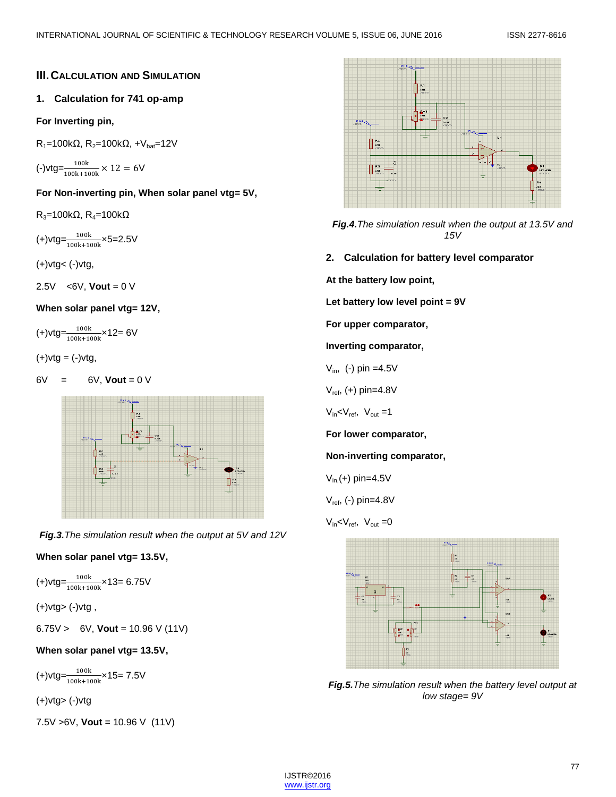# **III.CALCULATION AND SIMULATION**

# **1. Calculation for 741 op-amp**

## **For Inverting pin,**

 $R_1$ =100kΩ,  $R_2$ =100kΩ, +V<sub>bat</sub>=12V

 $\left(-\right)$ vtg= $\frac{100k}{100k+100k} \times 12 = 60$ 

**For Non-inverting pin, When solar panel vtg= 5V,**

 $R_3$ =100kΩ,  $R_4$ =100kΩ

(+)vtg= $\frac{100k}{100k+100k}$ ×5=2.5V

(+)vtg< (-)vtg,

2.5V <6V, **Vout** = 0 V

## **When solar panel vtg= 12V,**

 $(+)$ vtg= $\frac{100k}{100k+100k}$ ×12= 6V

 $(+)$ vtg =  $(-)$ vtg,

 $6V = 6V$ , **Vout** = 0 V



*Fig.3.The simulation result when the output at 5V and 12V*

# **When solar panel vtg= 13.5V,**

 $(+)$ vtg= $\frac{100k}{100k+100k}$ ×13= 6.75V

 $(+)$ vtg>  $(-)$ vtg,

6.75V > 6V, **Vout** = 10.96 V (11V)

# **When solar panel vtg= 13.5V,**

 $(+)$ vtg= $\frac{100k}{100k+100k}$ ×15= 7.5V

(+)vtg> (-)vtg

7.5V >6V, **Vout** = 10.96 V (11V)



*Fig.4.The simulation result when the output at 13.5V and 15V*

**2. Calculation for battery level comparator**

**At the battery low point,**

**Let battery low level point = 9V**

**For upper comparator,**

**Inverting comparator,**

$$
V_{\text{in}}
$$
, (-) pin =4.5V

 $V_{ref}$ , (+) pin=4.8V

 $V_{in}$  <  $V_{ref}$ ,  $V_{out}$  = 1

**For lower comparator,**

**Non-inverting comparator,**

$$
V_{\text{in}}(\text{+})
$$
 pin=4.5V

 $V_{ref}$ , (-) pin=4.8V

 $V_{in}$  <  $V_{ref}$ ,  $V_{out}$  = 0



*Fig.5.The simulation result when the battery level output at low stage= 9V*

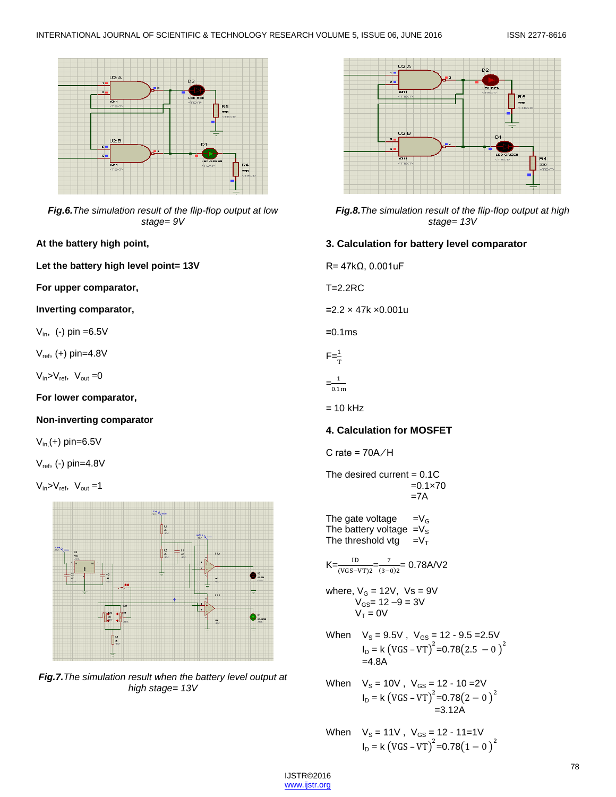

*Fig.6.The simulation result of the flip-flop output at low stage= 9V*

**At the battery high point,**

**Let the battery high level point= 13V**

**For upper comparator,**

**Inverting comparator,**

 $V_{in}$ , (-) pin =6.5V

 $V_{ref}$ , (+) pin=4.8V

 $V_{in} > V_{ref}$ ,  $V_{out} = 0$ 

**For lower comparator,**

## **Non-inverting comparator**

 $V_{in}$  (+) pin=6.5V

 $V_{ref}$ , (-) pin=4.8V

 $V_{in} > V_{ref}$ ,  $V_{out} = 1$ 



*Fig.7.The simulation result when the battery level output at high stage= 13V*



*Fig.8.The simulation result of the flip-flop output at high stage= 13V*

# **3. Calculation for battery level comparator**

R= 47kΩ, 0.001uF

T=2.2RC

**=**2.2 × 47k ×0.001u

**=**0.1ms

$$
F = \frac{1}{T}
$$

$$
= \frac{1}{0.1 \text{m}}
$$

 $= 10$  kHz

# **4. Calculation for MOSFET**

$$
C rate = 70A/H
$$

The desired current  $= 0.1C$  $=0.1\times70$  $=7A$ 

The gate voltage  $=V_G$ The battery voltage  $=V<sub>S</sub>$ The threshold vtg  $=V_T$ 

 $K = \frac{1D}{(VGS - VT)^2} = \frac{7}{(3 - 1)^2}$  $\frac{1}{(3-0)2}$  = 0.78A/V2

where, V<sub>G</sub> = 12V, Vs = 9V  
 
$$
V_{GS} = 12 - 9 = 3V
$$
  
  $V_T = 0V$ 

- When  $V_s = 9.5V$ ,  $V_{GS} = 12 9.5 = 2.5V$  $I_D = k (VGS - VT)^2 = 0.78(2.5 - 0)^2$  $=4.8A$
- When  $V_{\rm S} = 10V$  ,  $V_{\rm GS} = 12$  10 =2V  $I_D = k (VGS - VT)^2 = 0.78(2 - 0)^2$ =3.12A
- When  $V_{\rm S} = 11V$  ,  $V_{\rm GS} = 12$  11=1V  $I_D = k (VGS - VT)^2 = 0.78(1 - 0)^2$